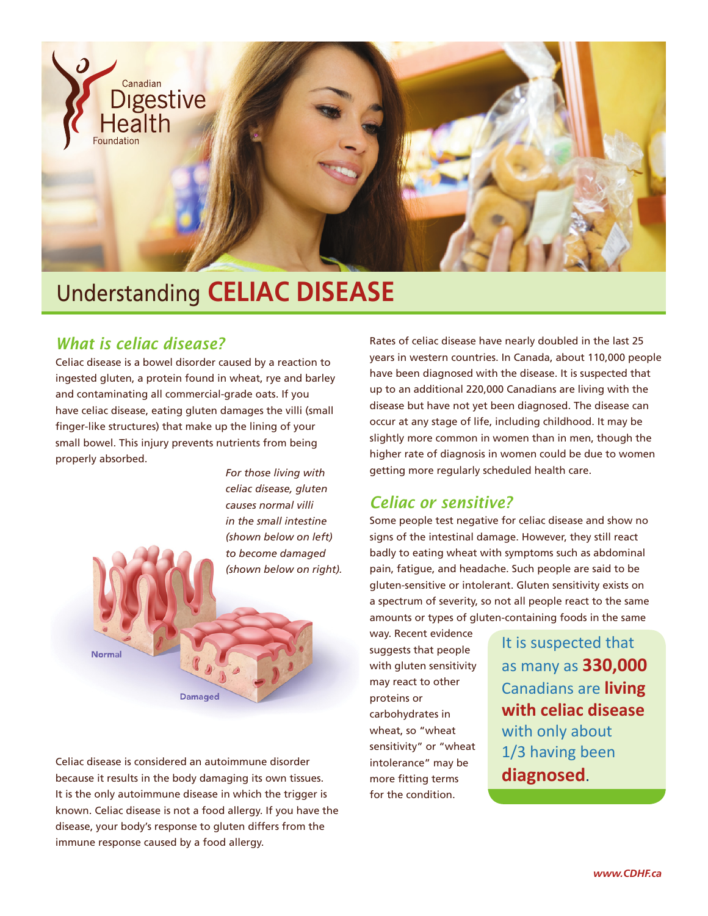

# Understanding **CELIAC DISEASE**

## *What is celiac disease?*

Celiac disease is a bowel disorder caused by a reaction to ingested gluten, a protein found in wheat, rye and barley and contaminating all commercial-grade oats. If you have celiac disease, eating gluten damages the villi (small finger-like structures) that make up the lining of your small bowel. This injury prevents nutrients from being properly absorbed.

> *For those living with celiac disease, gluten causes normal villi in the small intestine (shown below on left) to become damaged (shown below on right).*

**Normal** 

**Damaged** 

Celiac disease is considered an autoimmune disorder because it results in the body damaging its own tissues. It is the only autoimmune disease in which the trigger is known. Celiac disease is not a food allergy. If you have the disease, your body's response to gluten differs from the immune response caused by a food allergy.

Rates of celiac disease have nearly doubled in the last 25 years in western countries. In Canada, about 110,000 people have been diagnosed with the disease. It is suspected that up to an additional 220,000 Canadians are living with the disease but have not yet been diagnosed. The disease can occur at any stage of life, including childhood. It may be slightly more common in women than in men, though the higher rate of diagnosis in women could be due to women getting more regularly scheduled health care.

## *Celiac or sensitive?*

Some people test negative for celiac disease and show no signs of the intestinal damage. However, they still react badly to eating wheat with symptoms such as abdominal pain, fatigue, and headache. Such people are said to be gluten-sensitive or intolerant. Gluten sensitivity exists on a spectrum of severity, so not all people react to the same amounts or types of gluten-containing foods in the same

way. Recent evidence suggests that people with gluten sensitivity may react to other proteins or carbohydrates in wheat, so "wheat sensitivity" or "wheat intolerance" may be more fitting terms for the condition.

It is suspected that as many as **330,000** Canadians are **living with celiac disease** with only about 1/3 having been **diagnosed**.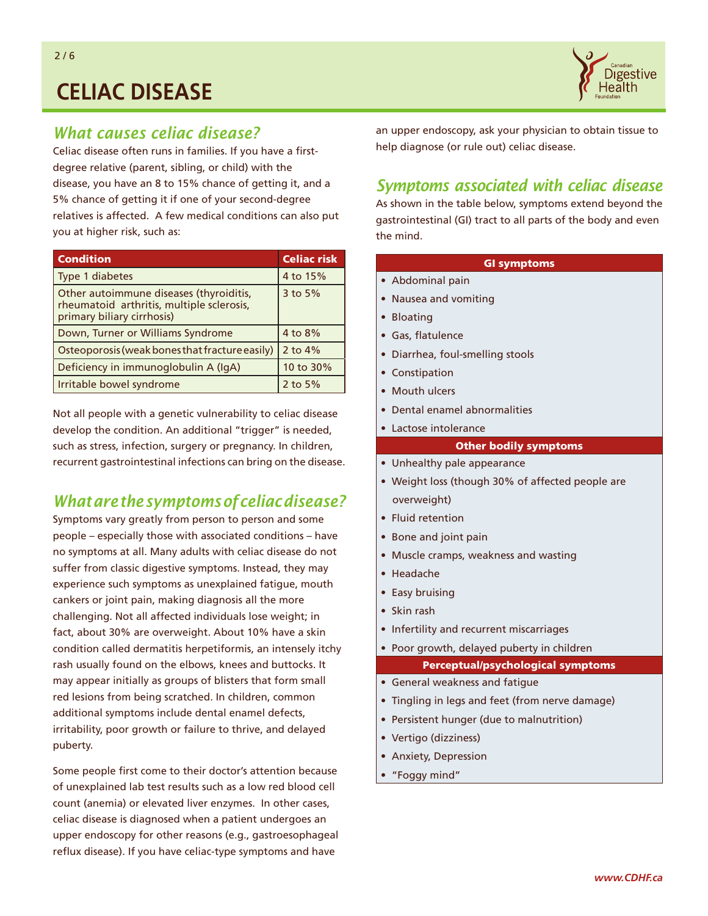

## *What causes celiac disease?*

Celiac disease often runs in families. If you have a firstdegree relative (parent, sibling, or child) with the disease, you have an 8 to 15% chance of getting it, and a 5% chance of getting it if one of your second-degree relatives is affected. A few medical conditions can also put you at higher risk, such as:

| <b>Condition</b>                                                                                                   | <b>Celiac risk</b> |  |  |
|--------------------------------------------------------------------------------------------------------------------|--------------------|--|--|
| Type 1 diabetes                                                                                                    | 4 to 15%           |  |  |
| Other autoimmune diseases (thyroiditis,<br>rheumatoid arthritis, multiple sclerosis,<br>primary biliary cirrhosis) | 3 to 5%            |  |  |
| Down, Turner or Williams Syndrome                                                                                  | 4 to 8%            |  |  |
| Osteoporosis (weak bones that fracture easily)                                                                     | 2 to $4%$          |  |  |
| Deficiency in immunoglobulin A (IgA)                                                                               | 10 to 30%          |  |  |
| Irritable bowel syndrome                                                                                           | 2 to $5%$          |  |  |

Not all people with a genetic vulnerability to celiac disease develop the condition. An additional "trigger" is needed, such as stress, infection, surgery or pregnancy. In children, recurrent gastrointestinal infections can bring on the disease.

## *What are the symptoms of celiac disease?*

Symptoms vary greatly from person to person and some people – especially those with associated conditions – have no symptoms at all. Many adults with celiac disease do not suffer from classic digestive symptoms. Instead, they may experience such symptoms as unexplained fatigue, mouth cankers or joint pain, making diagnosis all the more challenging. Not all affected individuals lose weight; in fact, about 30% are overweight. About 10% have a skin condition called dermatitis herpetiformis, an intensely itchy rash usually found on the elbows, knees and buttocks. It may appear initially as groups of blisters that form small red lesions from being scratched. In children, common additional symptoms include dental enamel defects, irritability, poor growth or failure to thrive, and delayed puberty.

Some people first come to their doctor's attention because of unexplained lab test results such as a low red blood cell count (anemia) or elevated liver enzymes. In other cases, celiac disease is diagnosed when a patient undergoes an upper endoscopy for other reasons (e.g., gastroesophageal reflux disease). If you have celiac-type symptoms and have

an upper endoscopy, ask your physician to obtain tissue to help diagnose (or rule out) celiac disease.

### *Symptoms associated with celiac disease*

As shown in the table below, symptoms extend beyond the gastrointestinal (GI) tract to all parts of the body and even the mind.

### GI symptoms

- Abdominal pain
- Nausea and vomiting
- Bloating
- Gas, flatulence
- Diarrhea, foul-smelling stools
- Constipation
- Mouth ulcers
- Dental enamel abnormalities
- Lactose intolerance

### Other bodily symptoms

- Unhealthy pale appearance
- Weight loss (though 30% of affected people are overweight)
- Fluid retention
- Bone and joint pain
- Muscle cramps, weakness and wasting
- Headache
- Easy bruising
- Skin rash
- Infertility and recurrent miscarriages
- Poor growth, delayed puberty in children

### Perceptual/psychological symptoms

- General weakness and fatigue
- Tingling in legs and feet (from nerve damage)
- Persistent hunger (due to malnutrition)
- Vertigo (dizziness)
- Anxiety, Depression
- "Foggy mind"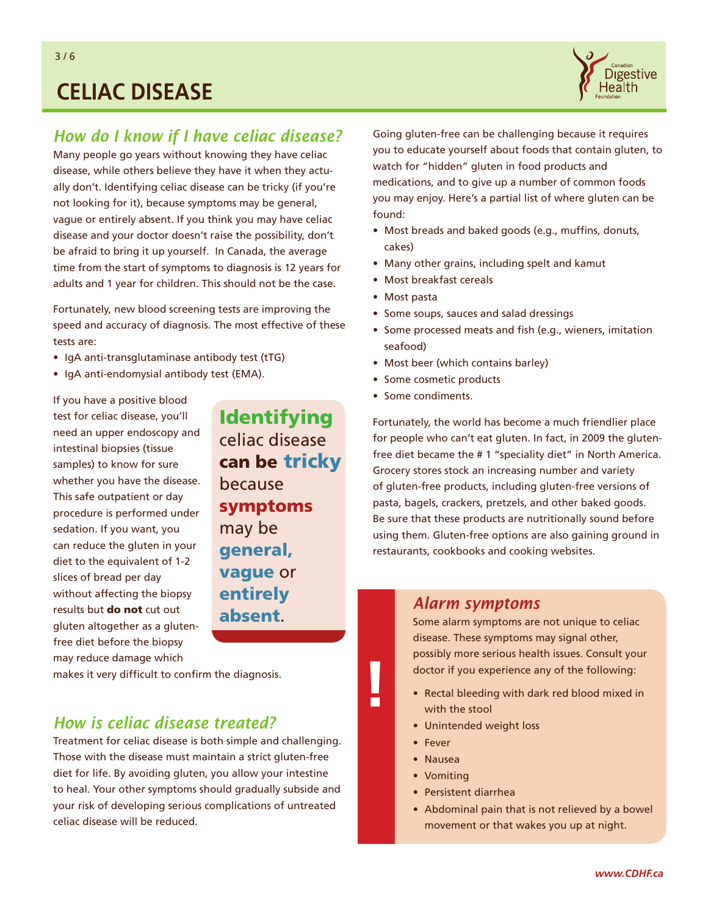

## *How do I know if I have celiac disease?*

Many people go years without knowing they have celiac disease, while others believe they have it when they actually don't. Identifying celiac disease can be tricky (if you're not looking for it), because symptoms may be general, vague or entirely absent. If you think you may have celiac disease and your doctor doesn't raise the possibility, don't be afraid to bring it up yourself. In Canada, the average time from the start of symptoms to diagnosis is 12 years for adults and 1 year for children. This should not be the case.

Fortunately, new blood screening tests are improving the speed and accuracy of diagnosis. The most effective of these tests are:

- IgA anti-transglutaminase antibody test (tTG)
- IgA anti-endomysial antibody test (EMA).

If you have a positive blood test for celiac disease, you'll need an upper endoscopy and intestinal biopsies (tissue samples) to know for sure whether you have the disease. This safe outpatient or day procedure is performed under sedation. If you want, you can reduce the gluten in your diet to the equivalent of 1-2 slices of bread per day without affecting the biopsy results but do not cut out gluten altogether as a glutenfree diet before the biopsy may reduce damage which

Identifying celiac disease can be tricky because symptoms may be general, vague or entirely absent. *Alarm symptoms* 

makes it very difficult to confirm the diagnosis.

### *How is celiac disease treated?*

Treatment for celiac disease is both simple and challenging. Those with the disease must maintain a strict gluten-free diet for life. By avoiding gluten, you allow your intestine to heal. Your other symptoms should gradually subside and your risk of developing serious complications of untreated celiac disease will be reduced.

Going gluten-free can be challenging because it requires you to educate yourself about foods that contain gluten, to watch for "hidden" gluten in food products and medications, and to give up a number of common foods you may enjoy. Here's a partial list of where gluten can be found:

- Most breads and baked goods (e.g., muffins, donuts, cakes)
- Many other grains, including spelt and kamut
- Most breakfast cereals
- Most pasta
- Some soups, sauces and salad dressings
- Some processed meats and fish (e.g., wieners, imitation seafood)
- Most beer (which contains barley)
- Some cosmetic products
- Some condiments.

Fortunately, the world has become a much friendlier place for people who can't eat gluten. In fact, in 2009 the glutenfree diet became the # 1 "speciality diet" in North America. Grocery stores stock an increasing number and variety of gluten-free products, including gluten-free versions of pasta, bagels, crackers, pretzels, and other baked goods. Be sure that these products are nutritionally sound before using them. Gluten-free options are also gaining ground in restaurants, cookbooks and cooking websites.

Some alarm symptoms are not unique to celiac disease. These symptoms may signal other, possibly more serious health issues. Consult your doctor if you experience any of the following:

- Rectal bleeding with dark red blood mixed in with the stool
- Unintended weight loss
- Fever

**!**

- Nausea
- Vomiting
- Persistent diarrhea
- Abdominal pain that is not relieved by a bowel movement or that wakes you up at night.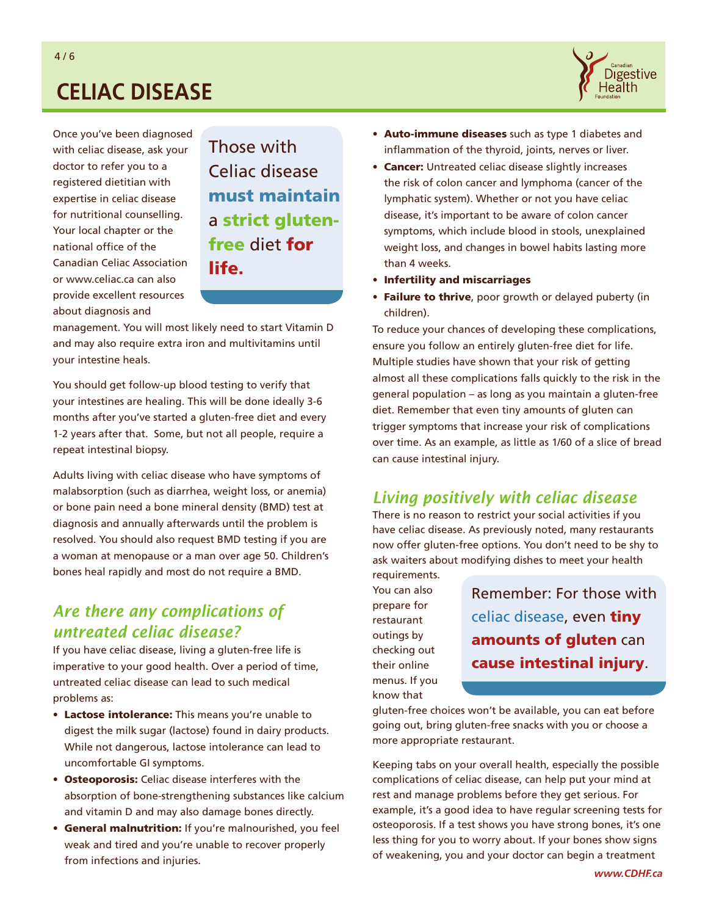

Once you've been diagnosed with celiac disease, ask your doctor to refer you to a registered dietitian with expertise in celiac disease for nutritional counselling. Your local chapter or the national office of the Canadian Celiac Association or [www.celiac.ca ca](http://www.celiac.ca)n also provide excellent resources about diagnosis and

Those with Celiac disease must maintain a strict glutenfree diet for life.

management. You will most likely need to start Vitamin D and may also require extra iron and multivitamins until your intestine heals.

You should get follow-up blood testing to verify that your intestines are healing. This will be done ideally 3-6 months after you've started a gluten-free diet and every 1-2 years after that. Some, but not all people, require a repeat intestinal biopsy.

Adults living with celiac disease who have symptoms of malabsorption (such as diarrhea, weight loss, or anemia) or bone pain need a bone mineral density (BMD) test at diagnosis and annually afterwards until the problem is resolved. You should also request BMD testing if you are a woman at menopause or a man over age 50. Children's bones heal rapidly and most do not require a BMD.

## *Are there any complications of untreated celiac disease?*

If you have celiac disease, living a gluten-free life is imperative to your good health. Over a period of time, untreated celiac disease can lead to such medical problems as:

- Lactose intolerance: This means you're unable to digest the milk sugar (lactose) found in dairy products. While not dangerous, lactose intolerance can lead to uncomfortable GI symptoms.
- Osteoporosis: Celiac disease interferes with the absorption of bone-strengthening substances like calcium and vitamin D and may also damage bones directly.
- General malnutrition: If you're malnourished, you feel weak and tired and you're unable to recover properly from infections and injuries.
- Auto-immune diseases such as type 1 diabetes and inflammation of the thyroid, joints, nerves or liver.
- Cancer: Untreated celiac disease slightly increases the risk of colon cancer and lymphoma (cancer of the lymphatic system). Whether or not you have celiac disease, it's important to be aware of colon cancer symptoms, which include blood in stools, unexplained weight loss, and changes in bowel habits lasting more than 4 weeks.
- Infertility and miscarriages
- Failure to thrive, poor growth or delayed puberty (in children).

To reduce your chances of developing these complications, ensure you follow an entirely gluten-free diet for life. Multiple studies have shown that your risk of getting almost all these complications falls quickly to the risk in the general population – as long as you maintain a gluten-free diet. Remember that even tiny amounts of gluten can trigger symptoms that increase your risk of complications over time. As an example, as little as 1/60 of a slice of bread can cause intestinal injury.

## *Living positively with celiac disease*

There is no reason to restrict your social activities if you have celiac disease. As previously noted, many restaurants now offer gluten-free options. You don't need to be shy to ask waiters about modifying dishes to meet your health

requirements. You can also prepare for restaurant outings by checking out their online menus. If you know that

Remember: For those with celiac disease, even tiny amounts of gluten can cause intestinal injury.

gluten-free choices won't be available, you can eat before going out, bring gluten-free snacks with you or choose a more appropriate restaurant.

Keeping tabs on your overall health, especially the possible complications of celiac disease, can help put your mind at rest and manage problems before they get serious. For example, it's a good idea to have regular screening tests for osteoporosis. If a test shows you have strong bones, it's one less thing for you to worry about. If your bones show signs of weakening, you and your doctor can begin a treatment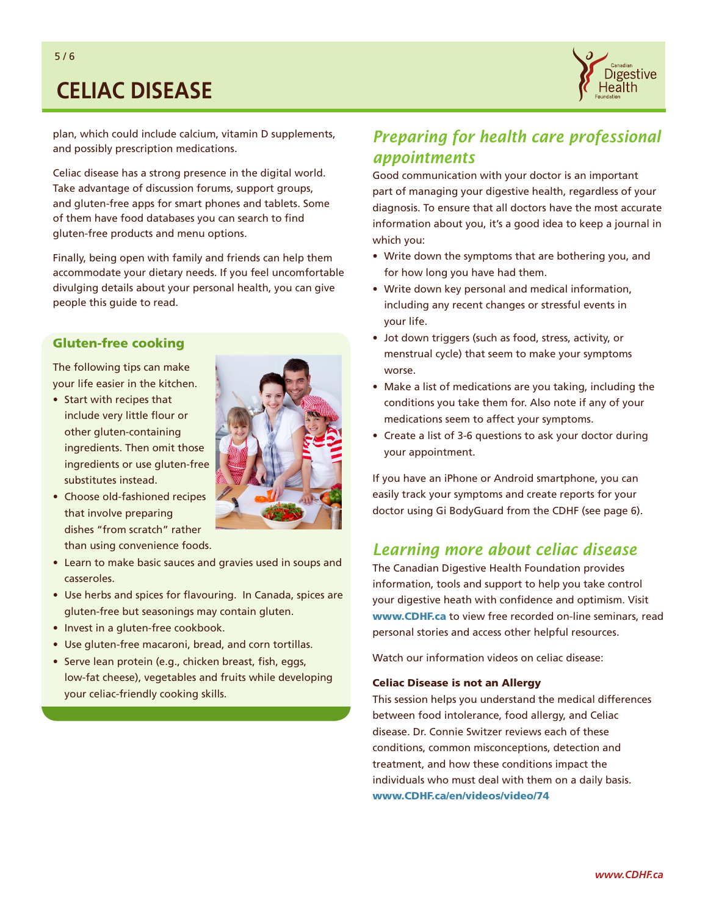

plan, which could include calcium, vitamin D supplements, and possibly prescription medications.

Celiac disease has a strong presence in the digital world. Take advantage of discussion forums, support groups, and gluten-free apps for smart phones and tablets. Some of them have food databases you can search to find gluten-free products and menu options.

Finally, being open with family and friends can help them accommodate your dietary needs. If you feel uncomfortable divulging details about your personal health, you can give people this guide to read.

### Gluten-free cooking

The following tips can make your life easier in the kitchen.

• Start with recipes that include very little flour or other gluten-containing ingredients. Then omit those ingredients or use gluten-free substitutes instead.



- Learn to make basic sauces and gravies used in soups and casseroles.
- Use herbs and spices for flavouring. In Canada, spices are gluten-free but seasonings may contain gluten.
- Invest in a gluten-free cookbook.
- Use gluten-free macaroni, bread, and corn tortillas.
- Serve lean protein (e.g., chicken breast, fish, eggs, low-fat cheese), vegetables and fruits while developing your celiac-friendly cooking skills.



Good communication with your doctor is an important part of managing your digestive health, regardless of your diagnosis. To ensure that all doctors have the most accurate information about you, it's a good idea to keep a journal in which you:

- Write down the symptoms that are bothering you, and for how long you have had them.
- Write down key personal and medical information, including any recent changes or stressful events in your life.
- Jot down triggers (such as food, stress, activity, or menstrual cycle) that seem to make your symptoms worse.
- Make a list of medications are you taking, including the conditions you take them for. Also note if any of your medications seem to affect your symptoms.
- Create a list of 3-6 questions to ask your doctor during your appointment.

If you have an iPhone or Android smartphone, you can easily track your symptoms and create reports for your doctor using Gi BodyGuard from the CDHF (see page 6).

### *Learning more about celiac disease*

The Canadian Digestive Health Foundation provides information, tools and support to help you take control your digestive heath with confidence and optimism. Visit [www.CDHF.ca](http://www.CDHF.ca) to view free recorded on-line seminars, read personal stories and access other helpful resources.

Watch our information videos on celiac disease:

### Celiac Disease is not an Allergy

This session helps you understand the medical differences between food intolerance, food allergy, and Celiac disease. Dr. Connie Switzer reviews each of these conditions, common misconceptions, detection and treatment, and how these conditions impact the individuals who must deal with them on a daily basis. [www.CDHF.ca/en/videos/video/74](http://www.CDHF.ca/en/videos/video/74)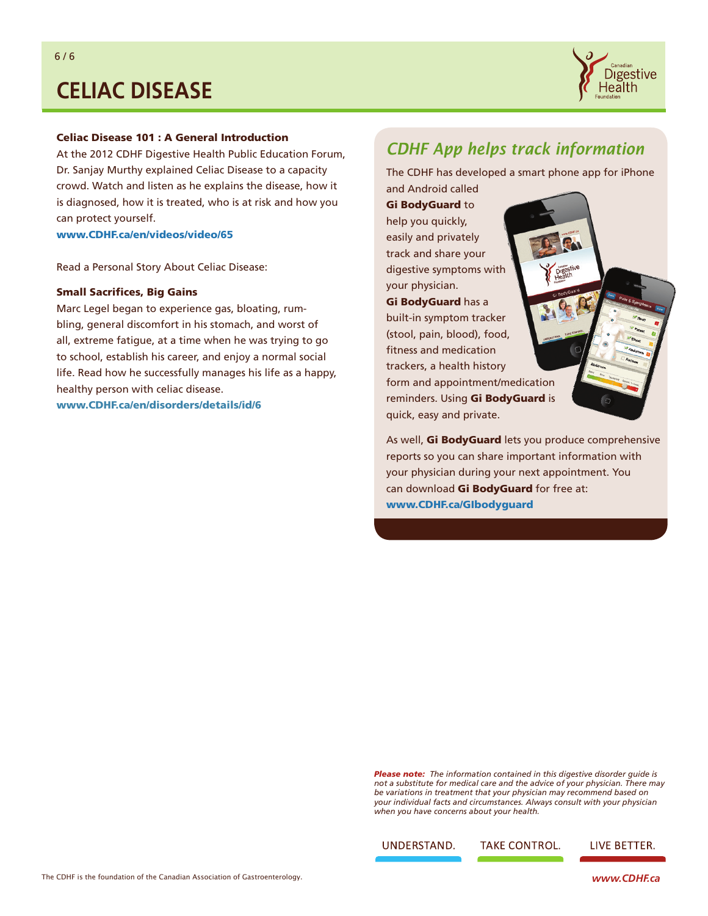

### Celiac Disease 101 : A General Introduction

At the 2012 CDHF Digestive Health Public Education Forum, Dr. Sanjay Murthy explained Celiac Disease to a capacity crowd. Watch and listen as he explains the disease, how it is diagnosed, how it is treated, who is at risk and how you can protect yourself.

[www.CDHF.ca/en/videos/video/65](http://www.CDHF.ca/en/videos/video/65)

Read a Personal Story About Celiac Disease:

#### Small Sacrifices, Big Gains

Marc Legel began to experience gas, bloating, rumbling, general discomfort in his stomach, and worst of all, extreme fatigue, at a time when he was trying to go to school, establish his career, and enjoy a normal social life. Read how he successfully manages his life as a happy, healthy person with celiac disease. [www.CDHF.ca/en/disorders/details/id/6](http://www.CDHF.ca/en/disorders/details/id/6)

## *CDHF App helps track information*

The CDHF has developed a smart phone app for iPhone

Gi BodyGuard to help you quickly, easily and privately track and share your digestive symptoms with your physician. Gi BodyGuard has a built-in symptom tracker (stool, pain, blood), food, fitness and medication trackers, a health history form and appointment/medication reminders. Using Gi BodyGuard is quick, easy and private.

and Android called

As well, Gi BodyGuard lets you produce comprehensive reports so you can share important information with your physician during your next appointment. You can download Gi BodyGuard for free at: www.CDHF.ca/GIbodyguard

*Please note: The information contained in this digestive disorder guide is not a substitute for medical care and the advice of your physician. There may be variations in treatment that your physician may recommend based on your individual facts and circumstances. Always consult with your physician when you have concerns about your health.*

UNDERSTAND.

**TAKE CONTROL.** 

**LIVE BETTER.**